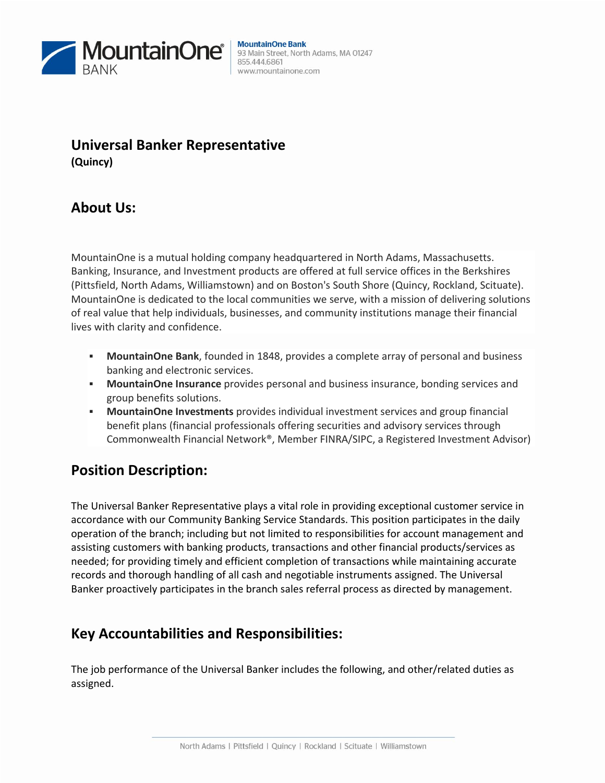

#### **MountainOne Bank** 93 Main Street, North Adams, MA 01247 855.444.6861 www.mountainone.com

### **Universal Banker Representative (Quincy)**

## **About Us:**

MountainOne is a mutual holding company headquartered in North Adams, Massachusetts. Banking, Insurance, and Investment products are offered at full service offices in the Berkshires (Pittsfield, North Adams, Williamstown) and on Boston's South Shore (Quincy, Rockland, Scituate). MountainOne is dedicated to the local communities we serve, with a mission of delivering solutions of real value that help individuals, businesses, and community institutions manage their financial lives with clarity and confidence.

- **MountainOne Bank**, founded in 1848, provides a complete array of personal and business banking and electronic services.
- **MountainOne Insurance** provides personal and business insurance, bonding services and group benefits solutions.
- **MountainOne Investments** provides individual investment services and group financial benefit plans (financial professionals offering securities and advisory services through Commonwealth Financial Network®, Member FINRA/SIPC, a Registered Investment Advisor)

### **Position Description:**

The Universal Banker Representative plays a vital role in providing exceptional customer service in accordance with our Community Banking Service Standards. This position participates in the daily operation of the branch; including but not limited to responsibilities for account management and assisting customers with banking products, transactions and other financial products/services as needed; for providing timely and efficient completion of transactions while maintaining accurate records and thorough handling of all cash and negotiable instruments assigned. The Universal Banker proactively participates in the branch sales referral process as directed by management.

# **Key Accountabilities and Responsibilities:**

The job performance of the Universal Banker includes the following, and other/related duties as assigned.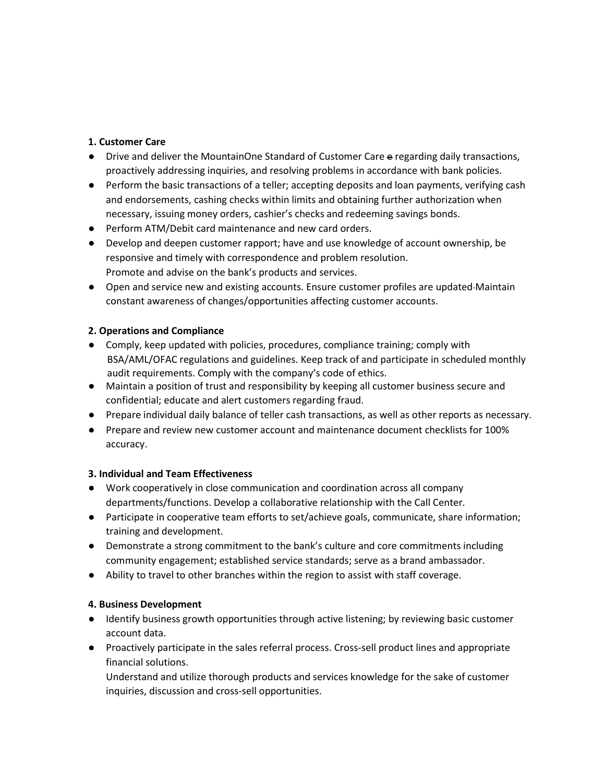#### **1. Customer Care**

- Drive and deliver the MountainOne Standard of Customer Care e regarding daily transactions, proactively addressing inquiries, and resolving problems in accordance with bank policies.
- Perform the basic transactions of a teller; accepting deposits and loan payments, verifying cash and endorsements, cashing checks within limits and obtaining further authorization when necessary, issuing money orders, cashier's checks and redeeming savings bonds.
- Perform ATM/Debit card maintenance and new card orders.
- Develop and deepen customer rapport; have and use knowledge of account ownership, be responsive and timely with correspondence and problem resolution. Promote and advise on the bank's products and services.
- Open and service new and existing accounts. Ensure customer profiles are updated Maintain constant awareness of changes/opportunities affecting customer accounts.

#### **2. Operations and Compliance**

- Comply, keep updated with policies, procedures, compliance training; comply with BSA/AML/OFAC regulations and guidelines. Keep track of and participate in scheduled monthly audit requirements. Comply with the company's code of ethics.
- Maintain a position of trust and responsibility by keeping all customer business secure and confidential; educate and alert customers regarding fraud.
- Prepare individual daily balance of teller cash transactions, as well as other reports as necessary.
- Prepare and review new customer account and maintenance document checklists for 100% accuracy.

#### **3. Individual and Team Effectiveness**

- Work cooperatively in close communication and coordination across all company departments/functions. Develop a collaborative relationship with the Call Center.
- Participate in cooperative team efforts to set/achieve goals, communicate, share information; training and development.
- Demonstrate a strong commitment to the bank's culture and core commitments including community engagement; established service standards; serve as a brand ambassador.
- Ability to travel to other branches within the region to assist with staff coverage.

#### **4. Business Development**

- Identify business growth opportunities through active listening; by reviewing basic customer account data.
- Proactively participate in the sales referral process. Cross-sell product lines and appropriate financial solutions.

Understand and utilize thorough products and services knowledge for the sake of customer inquiries, discussion and cross-sell opportunities.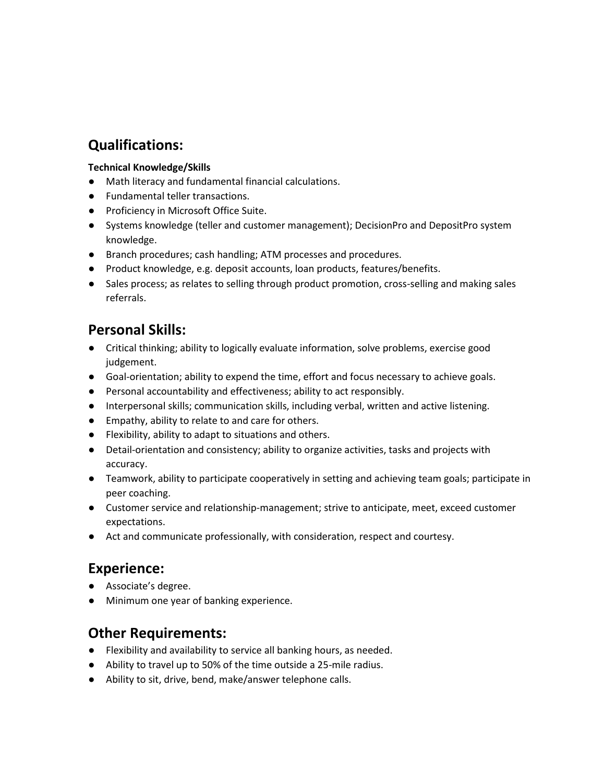# **Qualifications:**

### **Technical Knowledge/Skills**

- Math literacy and fundamental financial calculations.
- Fundamental teller transactions.
- Proficiency in Microsoft Office Suite.
- Systems knowledge (teller and customer management); DecisionPro and DepositPro system knowledge.
- Branch procedures; cash handling; ATM processes and procedures.
- Product knowledge, e.g. deposit accounts, loan products, features/benefits.
- Sales process; as relates to selling through product promotion, cross-selling and making sales referrals.

# **Personal Skills:**

- Critical thinking; ability to logically evaluate information, solve problems, exercise good judgement.
- Goal-orientation; ability to expend the time, effort and focus necessary to achieve goals.
- Personal accountability and effectiveness; ability to act responsibly.
- Interpersonal skills; communication skills, including verbal, written and active listening.
- Empathy, ability to relate to and care for others.
- Flexibility, ability to adapt to situations and others.
- Detail-orientation and consistency; ability to organize activities, tasks and projects with accuracy.
- Teamwork, ability to participate cooperatively in setting and achieving team goals; participate in peer coaching.
- Customer service and relationship-management; strive to anticipate, meet, exceed customer expectations.
- Act and communicate professionally, with consideration, respect and courtesy.

### **Experience:**

- Associate's degree.
- Minimum one year of banking experience.

### **Other Requirements:**

- Flexibility and availability to service all banking hours, as needed.
- Ability to travel up to 50% of the time outside a 25-mile radius.
- Ability to sit, drive, bend, make/answer telephone calls.